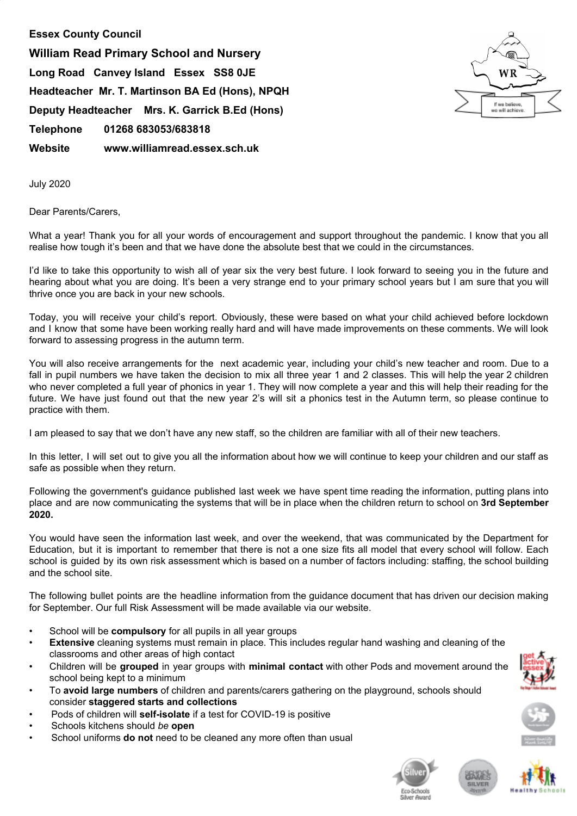**Essex County Council William Read Primary School and Nursery Long Road Canvey Island Essex SS8 0JE Headteacher Mr. T. Martinson BA Ed (Hons), NPQH Deputy Headteacher Mrs. K. Garrick B.Ed (Hons) Telephone 01268 683053/683818 Website www.williamread.essex.sch.uk**



July 2020

Dear Parents/Carers,

What a year! Thank you for all your words of encouragement and support throughout the pandemic. I know that you all realise how tough it's been and that we have done the absolute best that we could in the circumstances.

I'd like to take this opportunity to wish all of year six the very best future. I look forward to seeing you in the future and hearing about what you are doing. It's been a very strange end to your primary school years but I am sure that you will thrive once you are back in your new schools.

Today, you will receive your child's report. Obviously, these were based on what your child achieved before lockdown and I know that some have been working really hard and will have made improvements on these comments. We will look forward to assessing progress in the autumn term.

You will also receive arrangements for the next academic year, including your child's new teacher and room. Due to a fall in pupil numbers we have taken the decision to mix all three year 1 and 2 classes. This will help the year 2 children who never completed a full year of phonics in year 1. They will now complete a year and this will help their reading for the future. We have just found out that the new year 2's will sit a phonics test in the Autumn term, so please continue to practice with them.

I am pleased to say that we don't have any new staff, so the children are familiar with all of their new teachers.

In this letter, I will set out to give you all the information about how we will continue to keep your children and our staff as safe as possible when they return.

Following the government's guidance published last week we have spent time reading the information, putting plans into place and are now communicating the systems that will be in place when the children return to school on **3rd September 2020.**

You would have seen the information last week, and over the weekend, that was communicated by the Department for Education, but it is important to remember that there is not a one size fits all model that every school will follow. Each school is guided by its own risk assessment which is based on a number of factors including: staffing, the school building and the school site.

The following bullet points are the headline information from the guidance document that has driven our decision making for September. Our full Risk Assessment will be made available via our website.

- School will be **compulsory** for all pupils in all year groups
- **Extensive** cleaning systems must remain in place. This includes regular hand washing and cleaning of the classrooms and other areas of high contact
- Children will be **grouped** in year groups with **minimal contact** with other Pods and movement around the school being kept to a minimum
- To **avoid large numbers** of children and parents/carers gathering on the playground, schools should consider **staggered starts and collections**
- Pods of children will **self-isolate** if a test for COVID-19 is positive
- Schools kitchens should *be* **open**
- School uniforms **do not** need to be cleaned any more often than usual







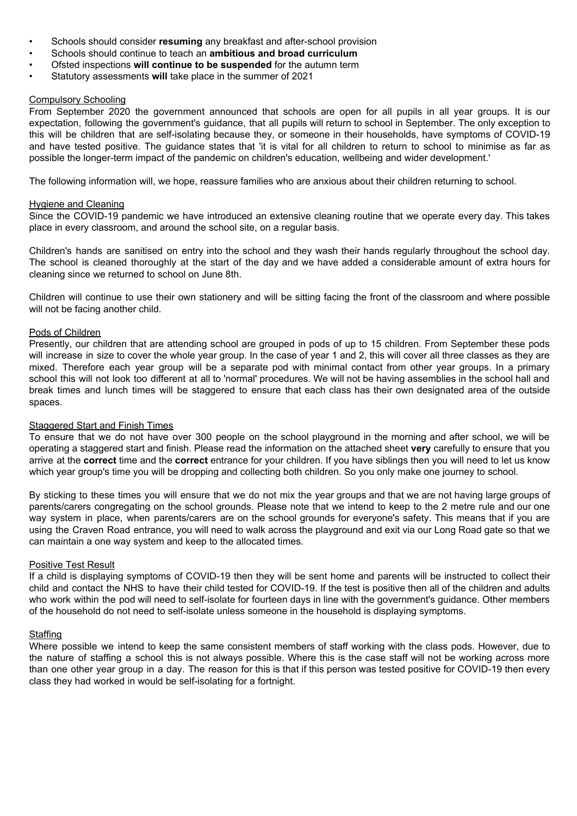- Schools should consider **resuming** any breakfast and after-school provision
- Schools should continue to teach an **ambitious and broad curriculum**
- Ofsted inspections **will continue to be suspended** for the autumn term
- Statutory assessments **will** take place in the summer of 2021

# Compulsory Schooling

From September 2020 the government announced that schools are open for all pupils in all year groups. It is our expectation, following the government's guidance, that all pupils will return to school in September. The only exception to this will be children that are self-isolating because they, or someone in their households, have symptoms of COVID-19 and have tested positive. The guidance states that 'it is vital for all children to return to school to minimise as far as possible the longer-term impact of the pandemic on children's education, wellbeing and wider development.'

The following information will, we hope, reassure families who are anxious about their children returning to school.

### Hygiene and Cleaning

Since the COVID-19 pandemic we have introduced an extensive cleaning routine that we operate every day. This takes place in every classroom, and around the school site, on a regular basis.

Children's hands are sanitised on entry into the school and they wash their hands regularly throughout the school day. The school is cleaned thoroughly at the start of the day and we have added a considerable amount of extra hours for cleaning since we returned to school on June 8th.

Children will continue to use their own stationery and will be sitting facing the front of the classroom and where possible will not be facing another child.

#### Pods of Children

Presently, our children that are attending school are grouped in pods of up to 15 children. From September these pods will increase in size to cover the whole year group. In the case of year 1 and 2, this will cover all three classes as they are mixed. Therefore each year group will be a separate pod with minimal contact from other year groups. In a primary school this will not look too different at all to 'normal' procedures. We will not be having assemblies in the school hall and break times and lunch times will be staggered to ensure that each class has their own designated area of the outside spaces.

## **Staggered Start and Finish Times**

To ensure that we do not have over 300 people on the school playground in the morning and after school, we will be operating a staggered start and finish. Please read the information on the attached sheet **very** carefully to ensure that you arrive at the **correct** time and the **correct** entrance for your children. If you have siblings then you will need to let us know which year group's time you will be dropping and collecting both children. So you only make one journey to school.

By sticking to these times you will ensure that we do not mix the year groups and that we are not having large groups of parents/carers congregating on the school grounds. Please note that we intend to keep to the 2 metre rule and our one way system in place, when parents/carers are on the school grounds for everyone's safety. This means that if you are using the Craven Road entrance, you will need to walk across the playground and exit via our Long Road gate so that we can maintain a one way system and keep to the allocated times.

#### **Positive Test Result**

If a child is displaying symptoms of COVID-19 then they will be sent home and parents will be instructed to collect their child and contact the NHS to have their child tested for COVID-19. If the test is positive then all of the children and adults who work within the pod will need to self-isolate for fourteen days in line with the government's guidance. Other members of the household do not need to self-isolate unless someone in the household is displaying symptoms.

## **Staffing**

Where possible we intend to keep the same consistent members of staff working with the class pods. However, due to the nature of staffing a school this is not always possible. Where this is the case staff will not be working across more than one other year group in a day. The reason for this is that if this person was tested positive for COVID-19 then every class they had worked in would be self-isolating for a fortnight.